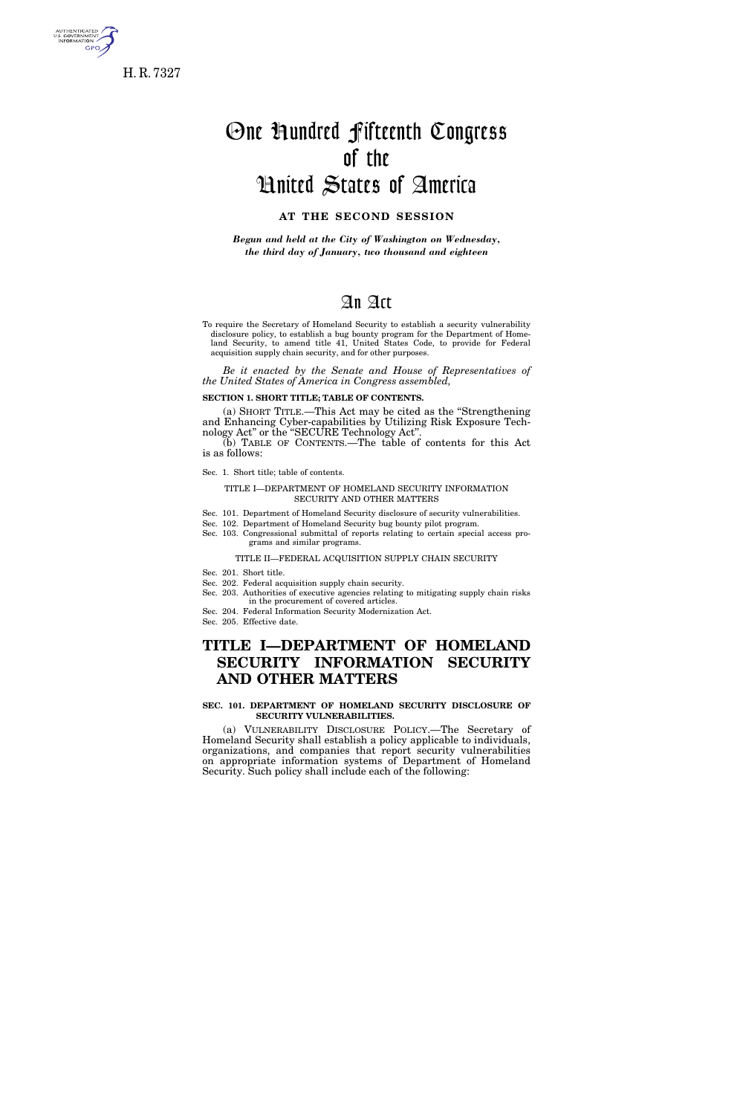

5. GOVERNMEI<br>INFORMATION **GPO** 

# One Hundred Fifteenth Congress of the United States of America

# **AT THE SECOND SESSION**

*Begun and held at the City of Washington on Wednesday, the third day of January, two thousand and eighteen* 

# An Act

To require the Secretary of Homeland Security to establish a security vulnerability disclosure policy, to establish a bug bounty program for the Department of Homeland Security, to amend title 41, United States Code, to provide for Federal acquisition supply chain security, and for other purposes.

*Be it enacted by the Senate and House of Representatives of the United States of America in Congress assembled,* 

**SECTION 1. SHORT TITLE; TABLE OF CONTENTS.** 

(a) SHORT TITLE.—This Act may be cited as the ''Strengthening and Enhancing Cyber-capabilities by Utilizing Risk Exposure Technology Act'' or the ''SECURE Technology Act''.

(b) TABLE OF CONTENTS.—The table of contents for this Act is as follows:

Sec. 1. Short title; table of contents.

#### TITLE I—DEPARTMENT OF HOMELAND SECURITY INFORMATION SECURITY AND OTHER MATTERS

- Sec. 101. Department of Homeland Security disclosure of security vulnerabilities.
- Sec. 102. Department of Homeland Security bug bounty pilot program.
- Sec. 103. Congressional submittal of reports relating to certain special access programs and similar programs.

TITLE II—FEDERAL ACQUISITION SUPPLY CHAIN SECURITY

Sec. 201. Short title.

- Sec. 202. Federal acquisition supply chain security.
- Sec. 203. Authorities of executive agencies relating to mitigating supply chain risks in the procurement of covered articles.
- Sec. 204. Federal Information Security Modernization Act.
- Sec. 205. Effective date.

# **TITLE I—DEPARTMENT OF HOMELAND SECURITY INFORMATION SECURITY AND OTHER MATTERS**

## **SEC. 101. DEPARTMENT OF HOMELAND SECURITY DISCLOSURE OF SECURITY VULNERABILITIES.**

(a) VULNERABILITY DISCLOSURE POLICY.—The Secretary of Homeland Security shall establish a policy applicable to individuals, organizations, and companies that report security vulnerabilities on appropriate information systems of Department of Homeland Security. Such policy shall include each of the following: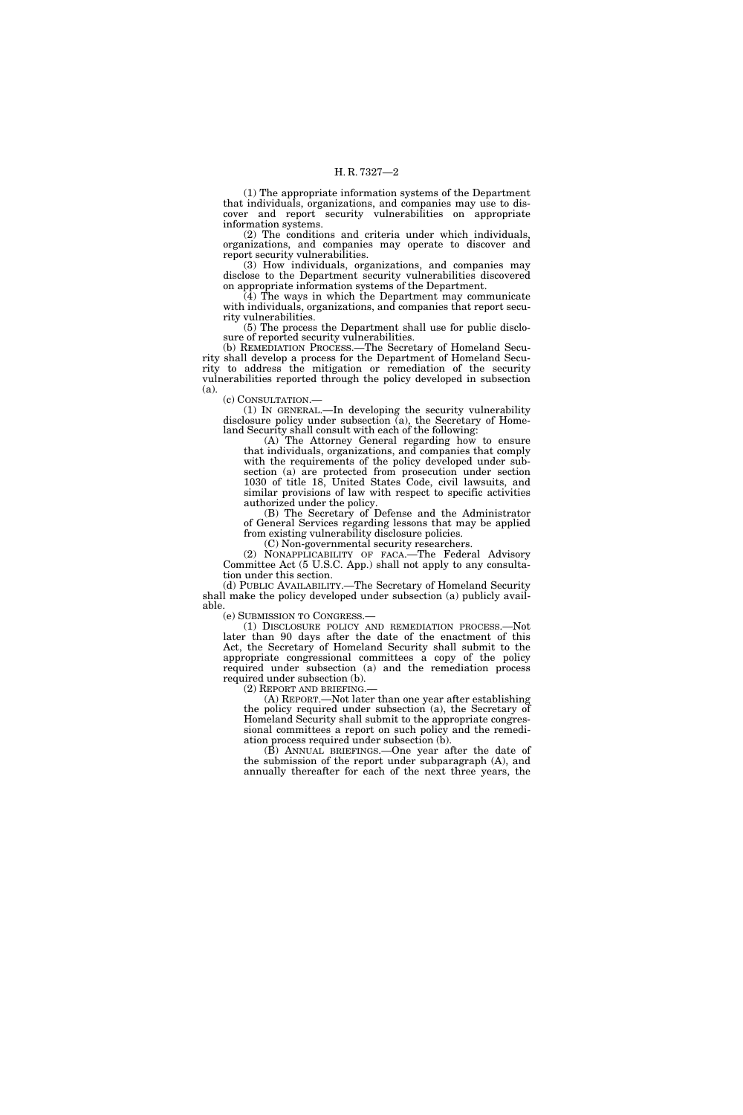(1) The appropriate information systems of the Department that individuals, organizations, and companies may use to discover and report security vulnerabilities on appropriate information systems.

(2) The conditions and criteria under which individuals, organizations, and companies may operate to discover and report security vulnerabilities.

(3) How individuals, organizations, and companies may disclose to the Department security vulnerabilities discovered on appropriate information systems of the Department.

(4) The ways in which the Department may communicate with individuals, organizations, and companies that report security vulnerabilities.

(5) The process the Department shall use for public disclosure of reported security vulnerabilities.

(b) REMEDIATION PROCESS.—The Secretary of Homeland Security shall develop a process for the Department of Homeland Security to address the mitigation or remediation of the security vulnerabilities reported through the policy developed in subsection (a).

(c) CONSULTATION.—

(1) IN GENERAL.—In developing the security vulnerability disclosure policy under subsection (a), the Secretary of Homeland Security shall consult with each of the following:

(A) The Attorney General regarding how to ensure that individuals, organizations, and companies that comply with the requirements of the policy developed under subsection (a) are protected from prosecution under section 1030 of title 18, United States Code, civil lawsuits, and similar provisions of law with respect to specific activities authorized under the policy.

(B) The Secretary of Defense and the Administrator of General Services regarding lessons that may be applied from existing vulnerability disclosure policies.

(C) Non-governmental security researchers.

(2) NONAPPLICABILITY OF FACA.—The Federal Advisory Committee Act (5 U.S.C. App.) shall not apply to any consultation under this section.

(d) PUBLIC AVAILABILITY.—The Secretary of Homeland Security shall make the policy developed under subsection (a) publicly available.

(e) SUBMISSION TO CONGRESS.—

(1) DISCLOSURE POLICY AND REMEDIATION PROCESS.—Not later than 90 days after the date of the enactment of this Act, the Secretary of Homeland Security shall submit to the appropriate congressional committees a copy of the policy required under subsection (a) and the remediation process required under subsection (b).<br>(2) REPORT AND BRIEFING.

 $(A)$  REPORT.—Not later than one year after establishing the policy required under subsection (a), the Secretary of Homeland Security shall submit to the appropriate congressional committees a report on such policy and the remediation process required under subsection (b).

(B) ANNUAL BRIEFINGS.—One year after the date of the submission of the report under subparagraph (A), and annually thereafter for each of the next three years, the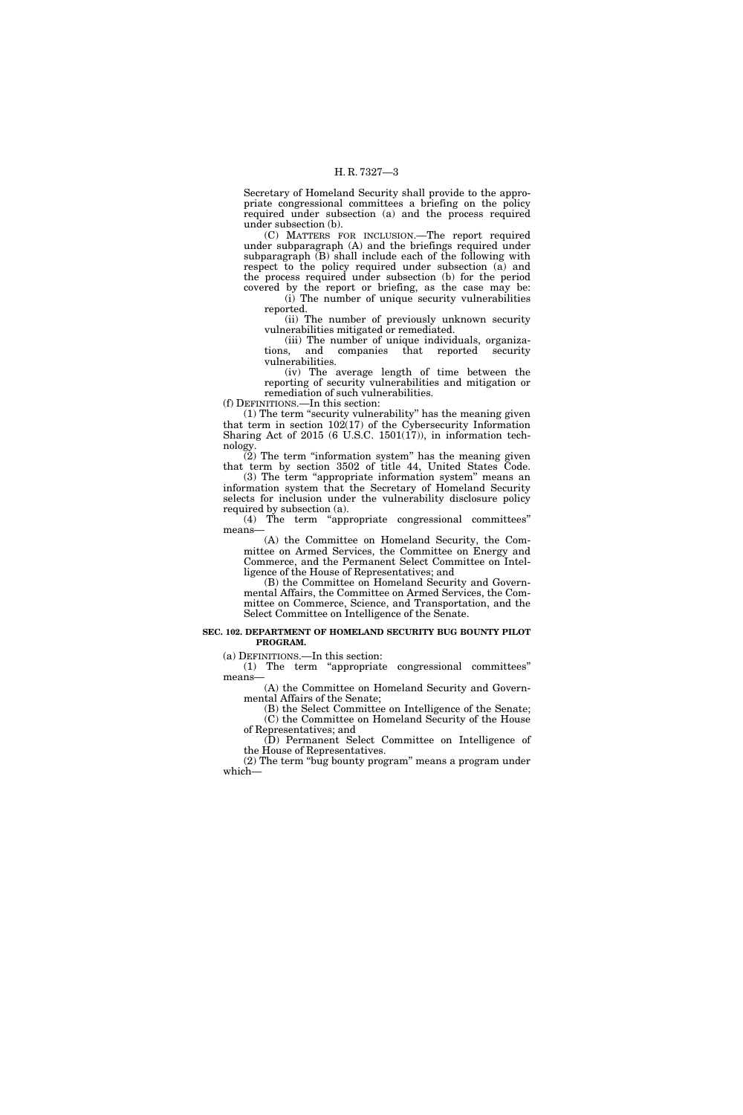Secretary of Homeland Security shall provide to the appropriate congressional committees a briefing on the policy required under subsection (a) and the process required under subsection (b).

(C) MATTERS FOR INCLUSION.—The report required under subparagraph (A) and the briefings required under subparagraph  $(B)$  shall include each of the following with respect to the policy required under subsection (a) and the process required under subsection (b) for the period covered by the report or briefing, as the case may be:

(i) The number of unique security vulnerabilities reported.

(ii) The number of previously unknown security vulnerabilities mitigated or remediated.

(iii) The number of unique individuals, organizations, and companies that reported security vulnerabilities.

(iv) The average length of time between the reporting of security vulnerabilities and mitigation or remediation of such vulnerabilities.

(f) DEFINITIONS.—In this section: (1) The term ''security vulnerability'' has the meaning given that term in section  $102(17)$  of the Cybersecurity Information Sharing Act of 2015 (6 U.S.C. 1501(17)), in information tech-

nology.  $\tilde{2}$ ) The term "information system" has the meaning given

that term by section 3502 of title 44, United States Code. (3) The term "appropriate information system" means an information system that the Secretary of Homeland Security selects for inclusion under the vulnerability disclosure policy

required by subsection (a). (4) The term ''appropriate congressional committees'' means—

(A) the Committee on Homeland Security, the Committee on Armed Services, the Committee on Energy and Commerce, and the Permanent Select Committee on Intelligence of the House of Representatives; and

(B) the Committee on Homeland Security and Governmental Affairs, the Committee on Armed Services, the Committee on Commerce, Science, and Transportation, and the Select Committee on Intelligence of the Senate.

#### **SEC. 102. DEPARTMENT OF HOMELAND SECURITY BUG BOUNTY PILOT PROGRAM.**

(a) DEFINITIONS.—In this section:

(1) The term ''appropriate congressional committees'' means—

(A) the Committee on Homeland Security and Governmental Affairs of the Senate;

(B) the Select Committee on Intelligence of the Senate; (C) the Committee on Homeland Security of the House of Representatives; and

(D) Permanent Select Committee on Intelligence of the House of Representatives.

(2) The term ''bug bounty program'' means a program under which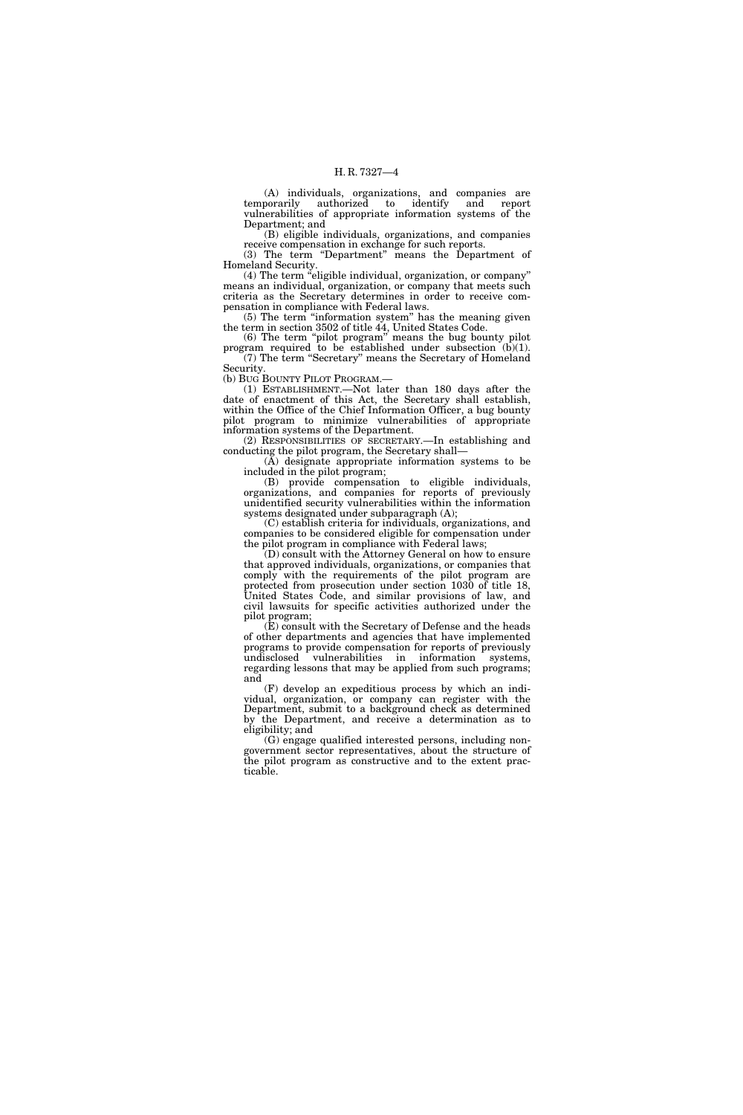(A) individuals, organizations, and companies are authorized to identify vulnerabilities of appropriate information systems of the Department; and

(B) eligible individuals, organizations, and companies receive compensation in exchange for such reports.

(3) The term "Department" means the Department of Homeland Security.

(4) The term "eligible individual, organization, or company" means an individual, organization, or company that meets such criteria as the Secretary determines in order to receive compensation in compliance with Federal laws.

(5) The term ''information system'' has the meaning given the term in section 3502 of title 44, United States Code.

(6) The term "pilot program" means the bug bounty pilot program required to be established under subsection  $(b)(1)$ . (7) The term ''Secretary'' means the Secretary of Homeland Security.

(b) BUG BOUNTY PILOT PROGRAM.—

(1) ESTABLISHMENT.—Not later than 180 days after the date of enactment of this Act, the Secretary shall establish, within the Office of the Chief Information Officer, a bug bounty pilot program to minimize vulnerabilities of appropriate information systems of the Department.

(2) RESPONSIBILITIES OF SECRETARY.—In establishing and conducting the pilot program, the Secretary shall—

 $(\bar{A})$  designate appropriate information systems to be included in the pilot program;

(B) provide compensation to eligible individuals, organizations, and companies for reports of previously unidentified security vulnerabilities within the information systems designated under subparagraph (A);

(C) establish criteria for individuals, organizations, and companies to be considered eligible for compensation under the pilot program in compliance with Federal laws;

(D) consult with the Attorney General on how to ensure that approved individuals, organizations, or companies that comply with the requirements of the pilot program are protected from prosecution under section 1030 of title 18, United States Code, and similar provisions of law, and civil lawsuits for specific activities authorized under the pilot program;

(E) consult with the Secretary of Defense and the heads of other departments and agencies that have implemented programs to provide compensation for reports of previously undisclosed vulnerabilities in information systems, regarding lessons that may be applied from such programs; and

(F) develop an expeditious process by which an individual, organization, or company can register with the Department, submit to a background check as determined by the Department, and receive a determination as to eligibility; and

(G) engage qualified interested persons, including nongovernment sector representatives, about the structure of the pilot program as constructive and to the extent practicable.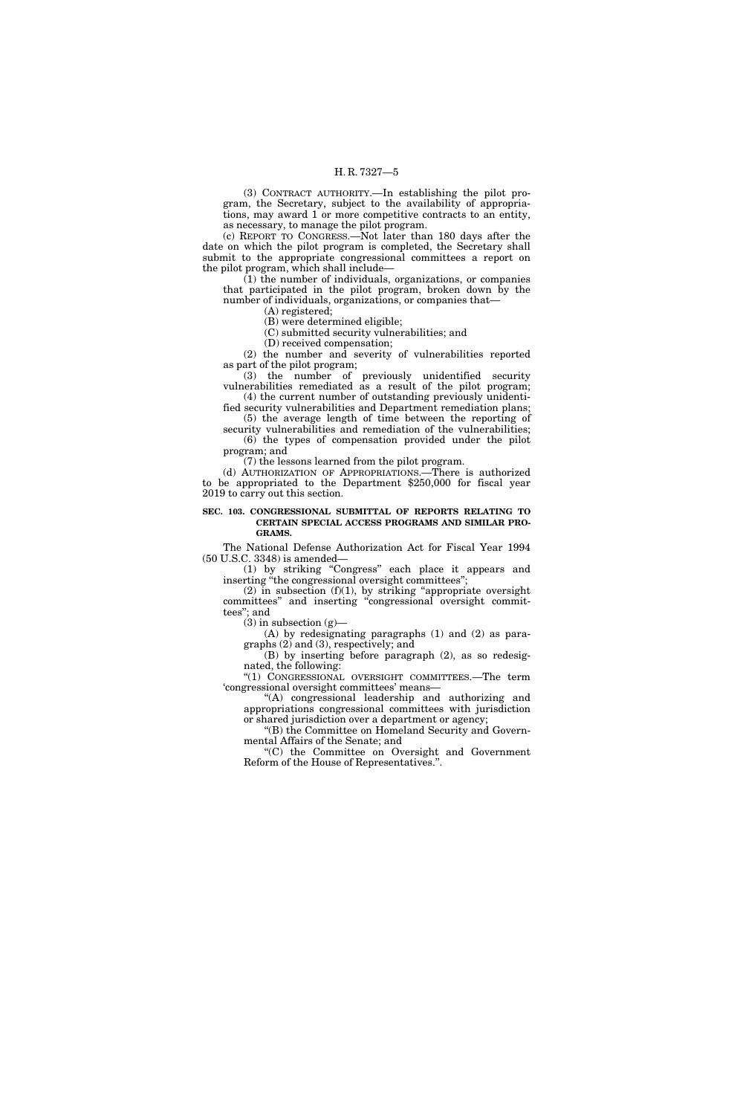(3) CONTRACT AUTHORITY.—In establishing the pilot program, the Secretary, subject to the availability of appropriations, may award 1 or more competitive contracts to an entity, as necessary, to manage the pilot program.

(c) REPORT TO CONGRESS.—Not later than 180 days after the date on which the pilot program is completed, the Secretary shall submit to the appropriate congressional committees a report on the pilot program, which shall include—

 $(1)$  the number of individuals, organizations, or companies that participated in the pilot program, broken down by the number of individuals, organizations, or companies that—

(A) registered;

(B) were determined eligible; (C) submitted security vulnerabilities; and

(D) received compensation;

(2) the number and severity of vulnerabilities reported as part of the pilot program;

(3) the number of previously unidentified security vulnerabilities remediated as a result of the pilot program; (4) the current number of outstanding previously unidenti-

fied security vulnerabilities and Department remediation plans; (5) the average length of time between the reporting of

security vulnerabilities and remediation of the vulnerabilities; (6) the types of compensation provided under the pilot program; and

(7) the lessons learned from the pilot program.

(d) AUTHORIZATION OF APPROPRIATIONS.—There is authorized to be appropriated to the Department \$250,000 for fiscal year 2019 to carry out this section.

#### **SEC. 103. CONGRESSIONAL SUBMITTAL OF REPORTS RELATING TO CERTAIN SPECIAL ACCESS PROGRAMS AND SIMILAR PRO-GRAMS.**

The National Defense Authorization Act for Fiscal Year 1994 (50 U.S.C. 3348) is amended—

(1) by striking ''Congress'' each place it appears and inserting "the congressional oversight committees";

 $(2)$  in subsection  $(f)(1)$ , by striking "appropriate oversight committees'' and inserting ''congressional oversight committees''; and

 $(3)$  in subsection  $(g)$ —

(A) by redesignating paragraphs (1) and (2) as paragraphs (2) and (3), respectively; and

(B) by inserting before paragraph (2), as so redesignated, the following:

''(1) CONGRESSIONAL OVERSIGHT COMMITTEES.—The term 'congressional oversight committees' means—

''(A) congressional leadership and authorizing and appropriations congressional committees with jurisdiction or shared jurisdiction over a department or agency;

''(B) the Committee on Homeland Security and Governmental Affairs of the Senate; and

''(C) the Committee on Oversight and Government Reform of the House of Representatives.''.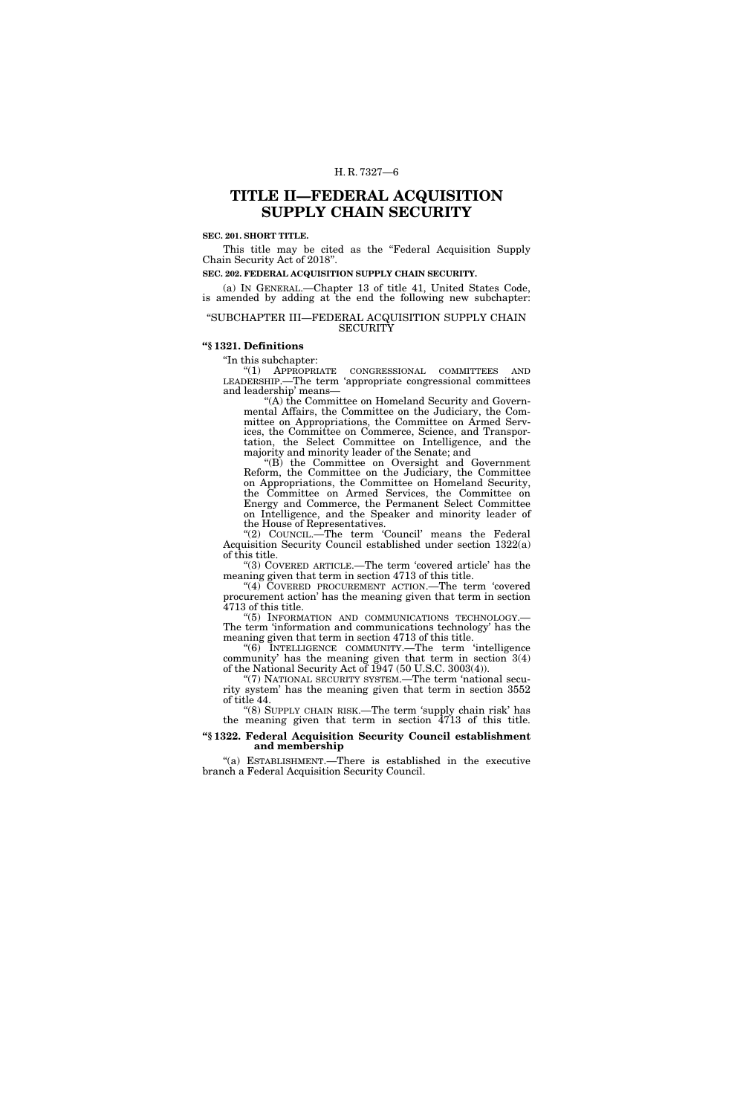# **TITLE II—FEDERAL ACQUISITION SUPPLY CHAIN SECURITY**

# **SEC. 201. SHORT TITLE.**

This title may be cited as the "Federal Acquisition Supply Chain Security Act of 2018''.

**SEC. 202. FEDERAL ACQUISITION SUPPLY CHAIN SECURITY.** 

(a) IN GENERAL.—Chapter 13 of title 41, United States Code, is amended by adding at the end the following new subchapter:

#### ''SUBCHAPTER III—FEDERAL ACQUISITION SUPPLY CHAIN **SECURITY**

# **''§ 1321. Definitions**

"In this subchapter:

''(1) APPROPRIATE CONGRESSIONAL COMMITTEES AND LEADERSHIP.—The term 'appropriate congressional committees and leadership' means—

"(A) the Committee on Homeland Security and Governmental Affairs, the Committee on the Judiciary, the Committee on Appropriations, the Committee on Armed Services, the Committee on Commerce, Science, and Transportation, the Select Committee on Intelligence, and the majority and minority leader of the Senate; and

''(B) the Committee on Oversight and Government Reform, the Committee on the Judiciary, the Committee on Appropriations, the Committee on Homeland Security, the Committee on Armed Services, the Committee on Energy and Commerce, the Permanent Select Committee on Intelligence, and the Speaker and minority leader of the House of Representatives.

"(2) COUNCIL.—The term 'Council' means the Federal Acquisition Security Council established under section 1322(a) of this title.

''(3) COVERED ARTICLE.—The term 'covered article' has the meaning given that term in section 4713 of this title.

"(4) COVERED PROCUREMENT ACTION.—The term 'covered procurement action' has the meaning given that term in section 4713 of this title.

''(5) INFORMATION AND COMMUNICATIONS TECHNOLOGY.— The term 'information and communications technology' has the meaning given that term in section 4713 of this title.

''(6) INTELLIGENCE COMMUNITY.—The term 'intelligence community' has the meaning given that term in section 3(4) of the National Security Act of 1947 (50 U.S.C. 3003(4)).

"(7) NATIONAL SECURITY SYSTEM.—The term 'national security system' has the meaning given that term in section 3552 of title 44.

''(8) SUPPLY CHAIN RISK.—The term 'supply chain risk' has the meaning given that term in section 4713 of this title.

# **''§ 1322. Federal Acquisition Security Council establishment and membership**

"(a) ESTABLISHMENT.—There is established in the executive branch a Federal Acquisition Security Council.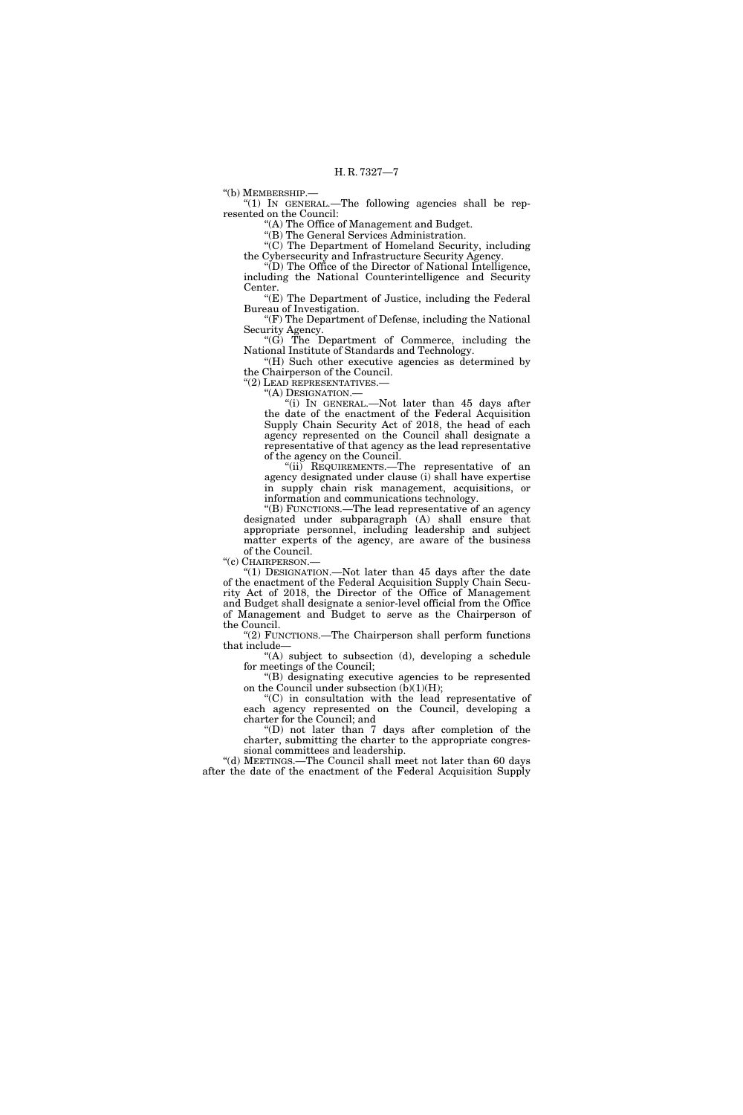''(b) MEMBERSHIP.—

''(1) IN GENERAL.—The following agencies shall be represented on the Council:

''(A) The Office of Management and Budget.

''(B) The General Services Administration.

''(C) The Department of Homeland Security, including the Cybersecurity and Infrastructure Security Agency.

''(D) The Office of the Director of National Intelligence, including the National Counterintelligence and Security Center.

"(E) The Department of Justice, including the Federal Bureau of Investigation. "(F) The Department of Defense, including the National

Security Agency.

''(G) The Department of Commerce, including the National Institute of Standards and Technology.

''(H) Such other executive agencies as determined by the Chairperson of the Council.

"(2) LEAD REPRESENTATIVES.

''(A) DESIGNATION.—

''(i) IN GENERAL.—Not later than 45 days after the date of the enactment of the Federal Acquisition Supply Chain Security Act of 2018, the head of each agency represented on the Council shall designate a representative of that agency as the lead representative of the agency on the Council.

"(ii) REQUIREMENTS.—The representative of an agency designated under clause (i) shall have expertise in supply chain risk management, acquisitions, or information and communications technology.

''(B) FUNCTIONS.—The lead representative of an agency designated under subparagraph (A) shall ensure that appropriate personnel, including leadership and subject matter experts of the agency, are aware of the business of the Council.

"(c) CHAIRPERSON.-

''(1) DESIGNATION.—Not later than 45 days after the date of the enactment of the Federal Acquisition Supply Chain Security Act of 2018, the Director of the Office of Management and Budget shall designate a senior-level official from the Office of Management and Budget to serve as the Chairperson of the Council.

"(2) FUNCTIONS.—The Chairperson shall perform functions that include—

"(A) subject to subsection  $(d)$ , developing a schedule for meetings of the Council;

''(B) designating executive agencies to be represented on the Council under subsection  $(b)(1)(H);$ 

''(C) in consultation with the lead representative of each agency represented on the Council, developing a charter for the Council; and

''(D) not later than 7 days after completion of the charter, submitting the charter to the appropriate congressional committees and leadership.

''(d) MEETINGS.—The Council shall meet not later than 60 days after the date of the enactment of the Federal Acquisition Supply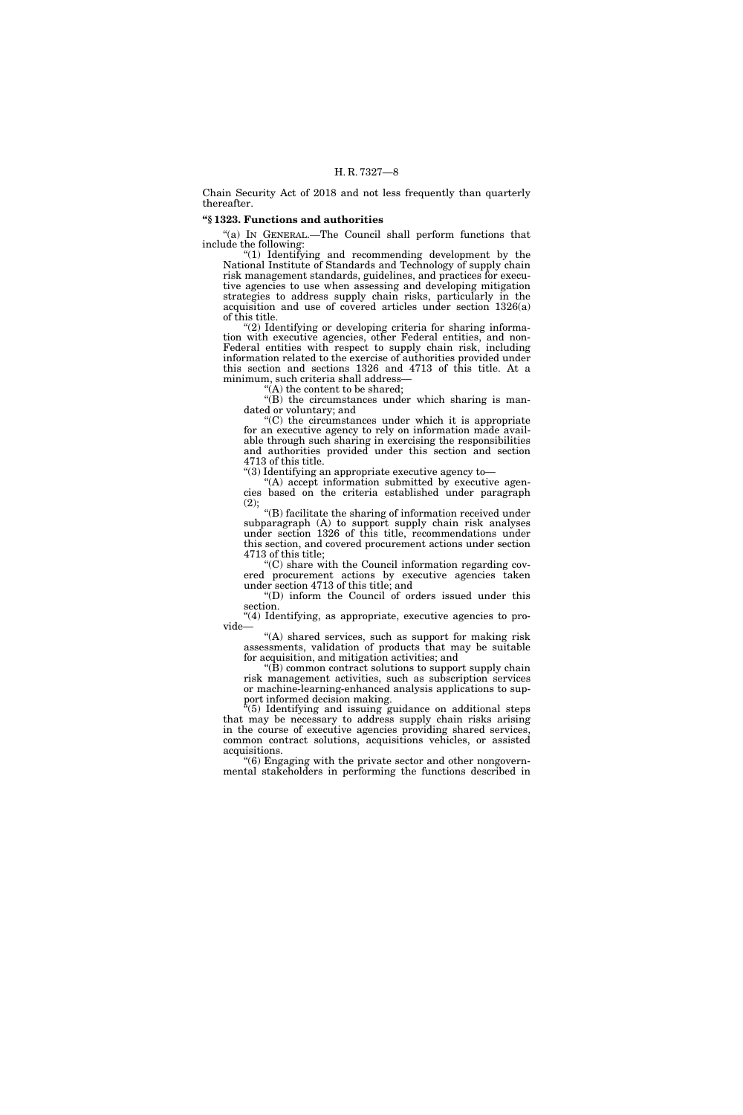Chain Security Act of 2018 and not less frequently than quarterly thereafter.

# **''§ 1323. Functions and authorities**

"(a) IN GENERAL.—The Council shall perform functions that include the following:

''(1) Identifying and recommending development by the National Institute of Standards and Technology of supply chain risk management standards, guidelines, and practices for executive agencies to use when assessing and developing mitigation strategies to address supply chain risks, particularly in the acquisition and use of covered articles under section 1326(a) of this title.

(2) Identifying or developing criteria for sharing information with executive agencies, other Federal entities, and non-Federal entities with respect to supply chain risk, including information related to the exercise of authorities provided under this section and sections 1326 and 4713 of this title. At a minimum, such criteria shall address—

 $(A)$  the content to be shared;

''(B) the circumstances under which sharing is mandated or voluntary; and

''(C) the circumstances under which it is appropriate for an executive agency to rely on information made available through such sharing in exercising the responsibilities and authorities provided under this section and section 4713 of this title.

''(3) Identifying an appropriate executive agency to—

''(A) accept information submitted by executive agencies based on the criteria established under paragraph (2);

 $\rm ^{\circ}\hspace{-0.04cm}(B)$  facilitate the sharing of information received under subparagraph (A) to support supply chain risk analyses under section 1326 of this title, recommendations under this section, and covered procurement actions under section 4713 of this title;

''(C) share with the Council information regarding covered procurement actions by executive agencies taken under section 4713 of this title; and

''(D) inform the Council of orders issued under this section.

"(4) Identifying, as appropriate, executive agencies to provide—

"(A) shared services, such as support for making risk assessments, validation of products that may be suitable for acquisition, and mitigation activities; and

 $f(B)$  common contract solutions to support supply chain risk management activities, such as subscription services or machine-learning-enhanced analysis applications to support informed decision making.

''(5) Identifying and issuing guidance on additional steps that may be necessary to address supply chain risks arising in the course of executive agencies providing shared services, common contract solutions, acquisitions vehicles, or assisted acquisitions.

''(6) Engaging with the private sector and other nongovernmental stakeholders in performing the functions described in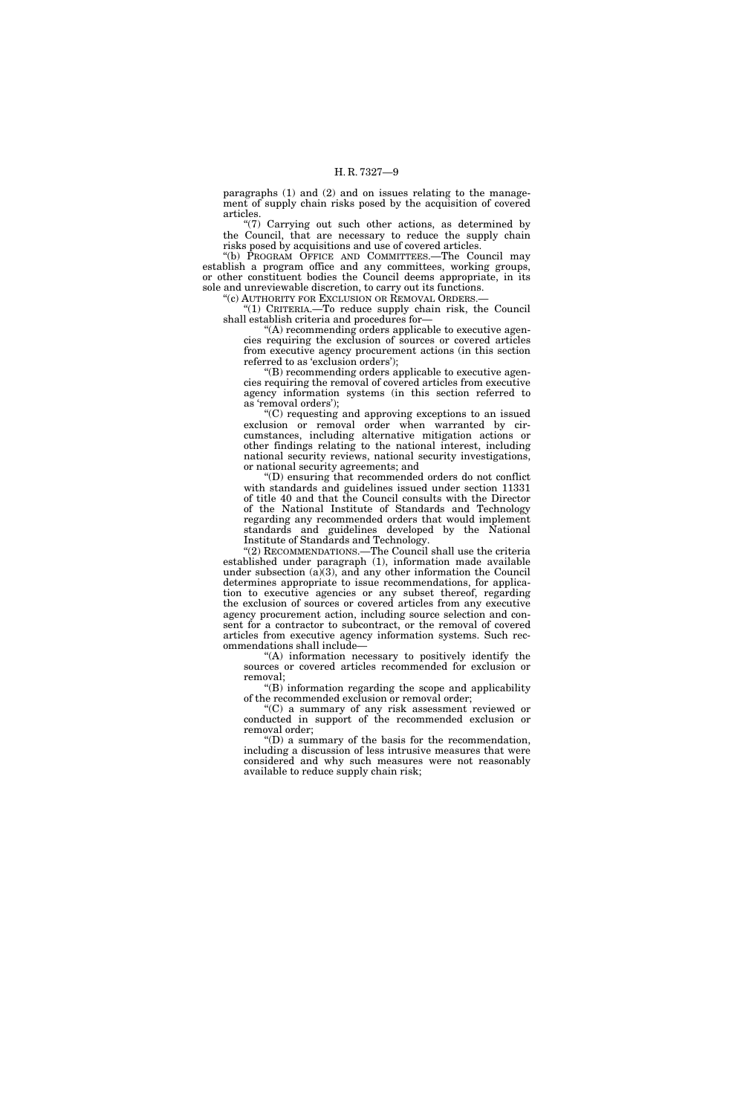paragraphs (1) and (2) and on issues relating to the management of supply chain risks posed by the acquisition of covered articles.

''(7) Carrying out such other actions, as determined by the Council, that are necessary to reduce the supply chain risks posed by acquisitions and use of covered articles.

''(b) PROGRAM OFFICE AND COMMITTEES.—The Council may establish a program office and any committees, working groups, or other constituent bodies the Council deems appropriate, in its sole and unreviewable discretion, to carry out its functions.

"(c) AUTHORITY FOR EXCLUSION OR REMOVAL ORDERS.-''(1) CRITERIA.—To reduce supply chain risk, the Council shall establish criteria and procedures for—

''(A) recommending orders applicable to executive agencies requiring the exclusion of sources or covered articles from executive agency procurement actions (in this section referred to as 'exclusion orders');

''(B) recommending orders applicable to executive agencies requiring the removal of covered articles from executive agency information systems (in this section referred to as 'removal orders');

 $(C)$  requesting and approving exceptions to an issued exclusion or removal order when warranted by circumstances, including alternative mitigation actions or other findings relating to the national interest, including national security reviews, national security investigations, or national security agreements; and

''(D) ensuring that recommended orders do not conflict with standards and guidelines issued under section 11331 of title 40 and that the Council consults with the Director of the National Institute of Standards and Technology regarding any recommended orders that would implement standards and guidelines developed by the National Institute of Standards and Technology.

"(2) RECOMMENDATIONS.—The Council shall use the criteria established under paragraph (1), information made available under subsection  $(a)(3)$ , and any other information the Council determines appropriate to issue recommendations, for application to executive agencies or any subset thereof, regarding the exclusion of sources or covered articles from any executive agency procurement action, including source selection and consent for a contractor to subcontract, or the removal of covered articles from executive agency information systems. Such recommendations shall include—

''(A) information necessary to positively identify the sources or covered articles recommended for exclusion or removal;

''(B) information regarding the scope and applicability of the recommended exclusion or removal order;

''(C) a summary of any risk assessment reviewed or conducted in support of the recommended exclusion or removal order;

 $\mathrm{``(D)}$  a summary of the basis for the recommendation, including a discussion of less intrusive measures that were considered and why such measures were not reasonably available to reduce supply chain risk;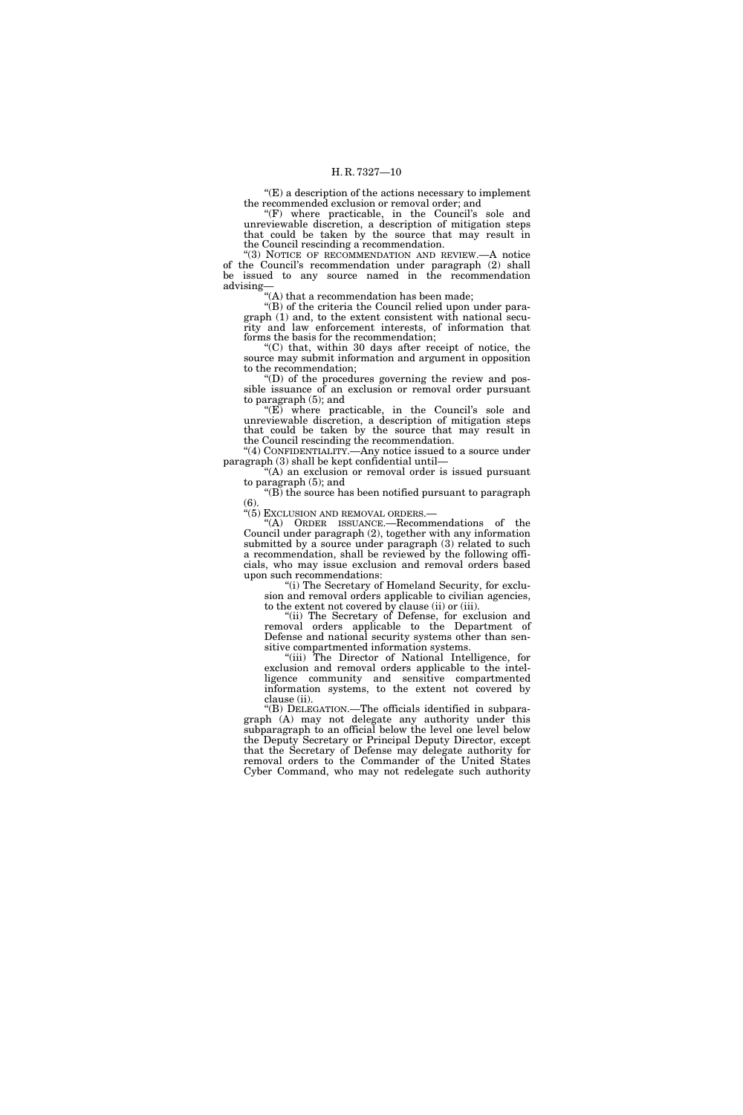$E(E)$  a description of the actions necessary to implement the recommended exclusion or removal order; and

 $(F)$  where practicable, in the Council's sole and unreviewable discretion, a description of mitigation steps that could be taken by the source that may result in the Council rescinding a recommendation.

''(3) NOTICE OF RECOMMENDATION AND REVIEW.—A notice of the Council's recommendation under paragraph (2) shall be issued to any source named in the recommendation advising—

''(A) that a recommendation has been made;

''(B) of the criteria the Council relied upon under paragraph (1) and, to the extent consistent with national security and law enforcement interests, of information that forms the basis for the recommendation;

''(C) that, within 30 days after receipt of notice, the source may submit information and argument in opposition to the recommendation;

''(D) of the procedures governing the review and possible issuance of an exclusion or removal order pursuant to paragraph (5); and

"(E) where practicable, in the Council's sole and unreviewable discretion, a description of mitigation steps that could be taken by the source that may result in the Council rescinding the recommendation.

"(4) CONFIDENTIALITY.—Any notice issued to a source under paragraph (3) shall be kept confidential until—

''(A) an exclusion or removal order is issued pursuant to paragraph (5); and

''(B) the source has been notified pursuant to paragraph  $(6)$ 

''(5) EXCLUSION AND REMOVAL ORDERS.—

''(A) ORDER ISSUANCE.—Recommendations of the Council under paragraph (2), together with any information submitted by a source under paragraph (3) related to such a recommendation, shall be reviewed by the following officials, who may issue exclusion and removal orders based upon such recommendations:

''(i) The Secretary of Homeland Security, for exclusion and removal orders applicable to civilian agencies, to the extent not covered by clause (ii) or (iii).

"(ii) The Secretary of Defense, for exclusion and removal orders applicable to the Department of Defense and national security systems other than sensitive compartmented information systems.

''(iii) The Director of National Intelligence, for exclusion and removal orders applicable to the intelligence community and sensitive compartmented information systems, to the extent not covered by clause (ii).

''(B) DELEGATION.—The officials identified in subparagraph (A) may not delegate any authority under this subparagraph to an official below the level one level below the Deputy Secretary or Principal Deputy Director, except that the Secretary of Defense may delegate authority for removal orders to the Commander of the United States Cyber Command, who may not redelegate such authority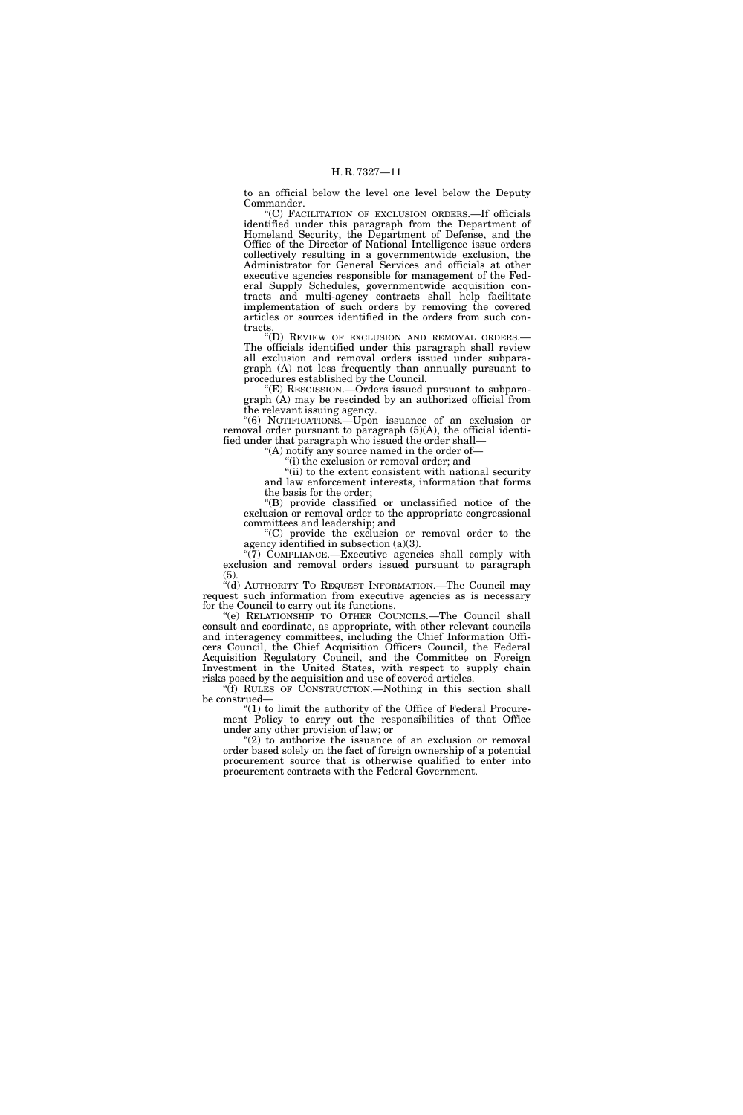to an official below the level one level below the Deputy Commander.

''(C) FACILITATION OF EXCLUSION ORDERS.—If officials identified under this paragraph from the Department of Homeland Security, the Department of Defense, and the Office of the Director of National Intelligence issue orders collectively resulting in a governmentwide exclusion, the Administrator for General Services and officials at other executive agencies responsible for management of the Federal Supply Schedules, governmentwide acquisition contracts and multi-agency contracts shall help facilitate implementation of such orders by removing the covered articles or sources identified in the orders from such contracts.

''(D) REVIEW OF EXCLUSION AND REMOVAL ORDERS.— The officials identified under this paragraph shall review all exclusion and removal orders issued under subparagraph (A) not less frequently than annually pursuant to procedures established by the Council.

''(E) RESCISSION.—Orders issued pursuant to subparagraph (A) may be rescinded by an authorized official from the relevant issuing agency.

''(6) NOTIFICATIONS.—Upon issuance of an exclusion or removal order pursuant to paragraph (5)(A), the official identified under that paragraph who issued the order shall—

 $(A)$  notify any source named in the order of-

''(i) the exclusion or removal order; and "(ii) to the extent consistent with national security

and law enforcement interests, information that forms the basis for the order;

''(B) provide classified or unclassified notice of the exclusion or removal order to the appropriate congressional committees and leadership; and

''(C) provide the exclusion or removal order to the agency identified in subsection (a)(3).

"(7) COMPLIANCE.—Executive agencies shall comply with exclusion and removal orders issued pursuant to paragraph (5).

''(d) AUTHORITY TO REQUEST INFORMATION.—The Council may request such information from executive agencies as is necessary for the Council to carry out its functions.

''(e) RELATIONSHIP TO OTHER COUNCILS.—The Council shall consult and coordinate, as appropriate, with other relevant councils and interagency committees, including the Chief Information Officers Council, the Chief Acquisition Officers Council, the Federal Acquisition Regulatory Council, and the Committee on Foreign Investment in the United States, with respect to supply chain risks posed by the acquisition and use of covered articles.

''(f) RULES OF CONSTRUCTION.—Nothing in this section shall be construed—

" $(1)$  to limit the authority of the Office of Federal Procurement Policy to carry out the responsibilities of that Office under any other provision of law; or

" $(2)$  to authorize the issuance of an exclusion or removal order based solely on the fact of foreign ownership of a potential procurement source that is otherwise qualified to enter into procurement contracts with the Federal Government.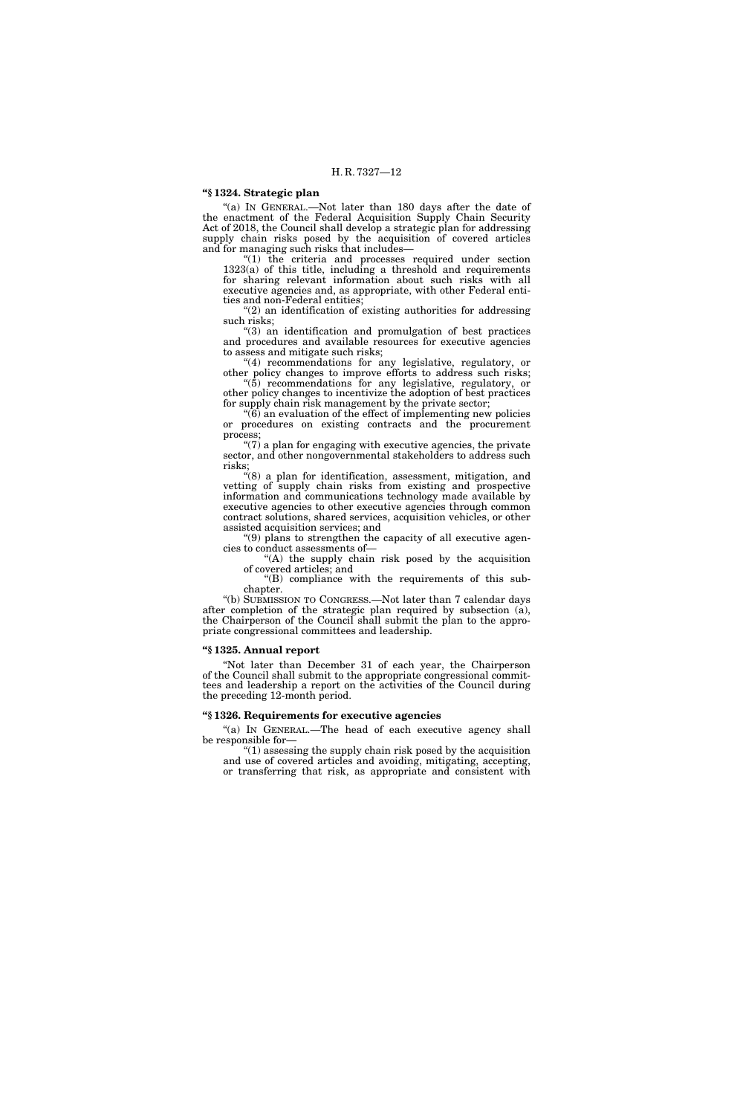# **''§ 1324. Strategic plan**

"(a) IN GENERAL.—Not later than 180 days after the date of the enactment of the Federal Acquisition Supply Chain Security Act of 2018, the Council shall develop a strategic plan for addressing supply chain risks posed by the acquisition of covered articles and for managing such risks that includes—

"(1) the criteria and processes required under section 1323(a) of this title, including a threshold and requirements for sharing relevant information about such risks with all executive agencies and, as appropriate, with other Federal entities and non-Federal entities;

 $(2)$  an identification of existing authorities for addressing such risks;

''(3) an identification and promulgation of best practices and procedures and available resources for executive agencies to assess and mitigate such risks;

"(4) recommendations for any legislative, regulatory, or other policy changes to improve efforts to address such risks; ''(5) recommendations for any legislative, regulatory, or

other policy changes to incentivize the adoption of best practices for supply chain risk management by the private sector;

''(6) an evaluation of the effect of implementing new policies or procedures on existing contracts and the procurement process;

" $(7)$  a plan for engaging with executive agencies, the private sector, and other nongovernmental stakeholders to address such risks;

''(8) a plan for identification, assessment, mitigation, and vetting of supply chain risks from existing and prospective information and communications technology made available by executive agencies to other executive agencies through common contract solutions, shared services, acquisition vehicles, or other assisted acquisition services; and

''(9) plans to strengthen the capacity of all executive agencies to conduct assessments of—

''(A) the supply chain risk posed by the acquisition of covered articles; and

 $'(B)$  compliance with the requirements of this subchapter.

''(b) SUBMISSION TO CONGRESS.—Not later than 7 calendar days after completion of the strategic plan required by subsection (a), the Chairperson of the Council shall submit the plan to the appropriate congressional committees and leadership.

#### **''§ 1325. Annual report**

''Not later than December 31 of each year, the Chairperson of the Council shall submit to the appropriate congressional committees and leadership a report on the activities of the Council during the preceding 12-month period.

### **''§ 1326. Requirements for executive agencies**

"(a) IN GENERAL.-The head of each executive agency shall be responsible for—

''(1) assessing the supply chain risk posed by the acquisition and use of covered articles and avoiding, mitigating, accepting, or transferring that risk, as appropriate and consistent with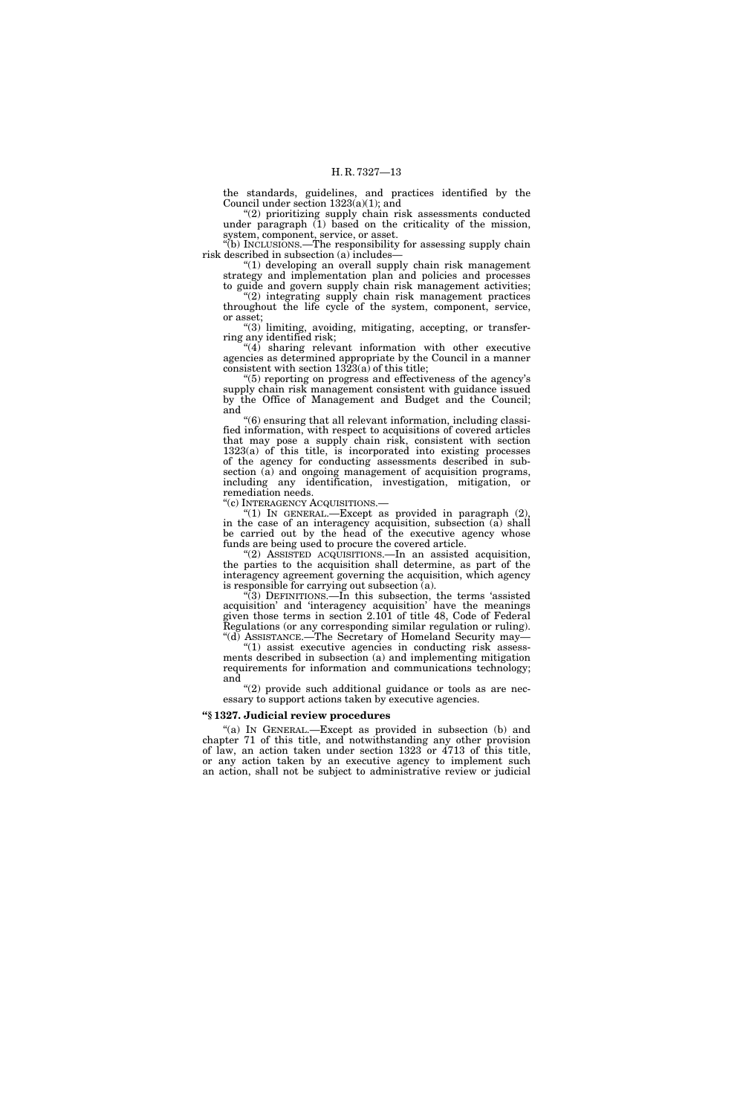the standards, guidelines, and practices identified by the Council under section 1323(a)(1); and

"(2) prioritizing supply chain risk assessments conducted under paragraph (1) based on the criticality of the mission, system, component, service, or asset.

''(b) INCLUSIONS.—The responsibility for assessing supply chain risk described in subsection (a) includes—

''(1) developing an overall supply chain risk management strategy and implementation plan and policies and processes to guide and govern supply chain risk management activities;

"(2) integrating supply chain risk management practices throughout the life cycle of the system, component, service, or asset;

''(3) limiting, avoiding, mitigating, accepting, or transferring any identified risk;

 $(4)$  sharing relevant information with other executive agencies as determined appropriate by the Council in a manner consistent with section  $1323(a)$  of this title;

''(5) reporting on progress and effectiveness of the agency's supply chain risk management consistent with guidance issued by the Office of Management and Budget and the Council; and

''(6) ensuring that all relevant information, including classified information, with respect to acquisitions of covered articles that may pose a supply chain risk, consistent with section 1323(a) of this title, is incorporated into existing processes of the agency for conducting assessments described in subsection (a) and ongoing management of acquisition programs, including any identification, investigation, mitigation, or remediation needs.

''(c) INTERAGENCY ACQUISITIONS.—

 $(1)$  In GENERAL.—Except as provided in paragraph  $(2)$ , in the case of an interagency acquisition, subsection (a) shall be carried out by the head of the executive agency whose funds are being used to procure the covered article.

''(2) ASSISTED ACQUISITIONS.—In an assisted acquisition, the parties to the acquisition shall determine, as part of the interagency agreement governing the acquisition, which agency is responsible for carrying out subsection (a).

 $\sqrt[4]{3}$  DEFINITIONS.—In this subsection, the terms 'assisted acquisition' and 'interagency acquisition' have the meanings given those terms in section 2.101 of title 48, Code of Federal Regulations (or any corresponding similar regulation or ruling). "(d) ASSISTANCE.—The Secretary of Homeland Security may-

"(1) assist executive agencies in conducting risk assessments described in subsection (a) and implementing mitigation requirements for information and communications technology; and

"(2) provide such additional guidance or tools as are necessary to support actions taken by executive agencies.

### **''§ 1327. Judicial review procedures**

"(a) IN GENERAL.-Except as provided in subsection (b) and chapter 71 of this title, and notwithstanding any other provision of law, an action taken under section 1323 or 4713 of this title, or any action taken by an executive agency to implement such an action, shall not be subject to administrative review or judicial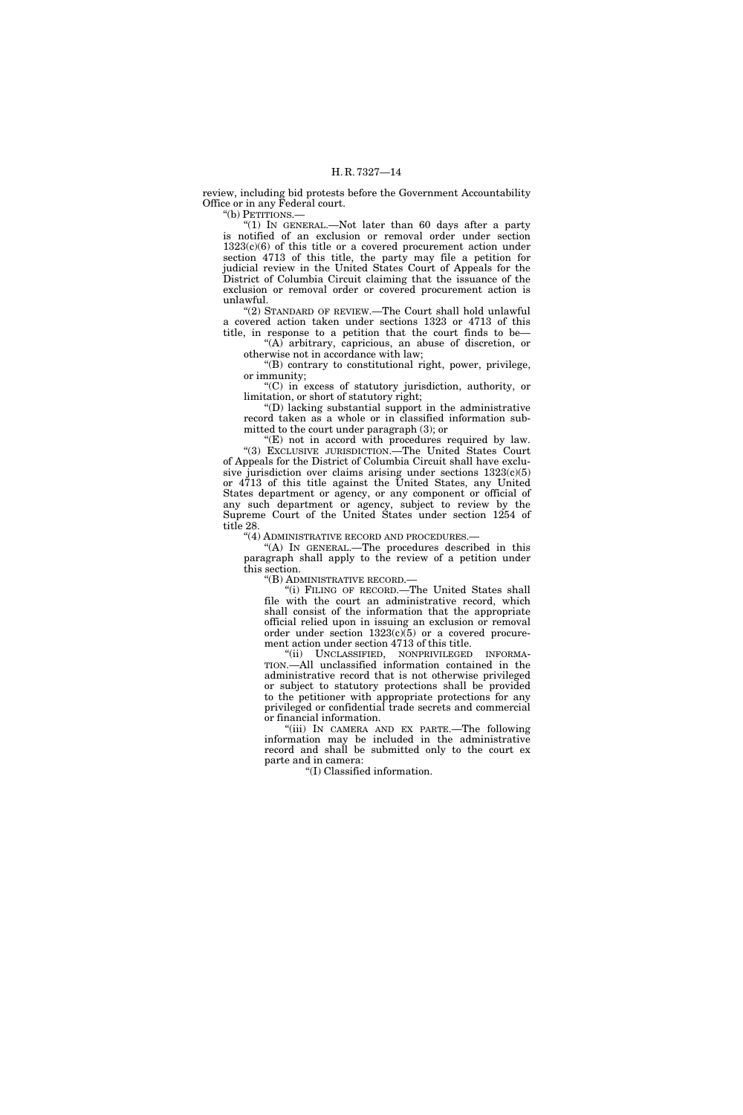review, including bid protests before the Government Accountability Office or in any Federal court.

"(b) PETITIONS.-

''(1) IN GENERAL.—Not later than 60 days after a party is notified of an exclusion or removal order under section  $1323(c)(6)$  of this title or a covered procurement action under section 4713 of this title, the party may file a petition for judicial review in the United States Court of Appeals for the District of Columbia Circuit claiming that the issuance of the exclusion or removal order or covered procurement action is unlawful.

''(2) STANDARD OF REVIEW.—The Court shall hold unlawful a covered action taken under sections 1323 or 4713 of this

title, in response to a petition that the court finds to be— ''(A) arbitrary, capricious, an abuse of discretion, or otherwise not in accordance with law;

''(B) contrary to constitutional right, power, privilege, or immunity;

''(C) in excess of statutory jurisdiction, authority, or limitation, or short of statutory right;

''(D) lacking substantial support in the administrative record taken as a whole or in classified information submitted to the court under paragraph (3); or

 $(E)$  not in accord with procedures required by law. ''(3) EXCLUSIVE JURISDICTION.—The United States Court of Appeals for the District of Columbia Circuit shall have exclusive jurisdiction over claims arising under sections  $1323(c)(5)$ or 4713 of this title against the United States, any United States department or agency, or any component or official of any such department or agency, subject to review by the Supreme Court of the United States under section 1254 of title 28.

''(4) ADMINISTRATIVE RECORD AND PROCEDURES.—

''(A) IN GENERAL.—The procedures described in this paragraph shall apply to the review of a petition under this section.

''(B) ADMINISTRATIVE RECORD.—

''(i) FILING OF RECORD.—The United States shall file with the court an administrative record, which shall consist of the information that the appropriate official relied upon in issuing an exclusion or removal order under section  $1323(c)\overline{(5)}$  or a covered procurement action under section 4713 of this title.

"(ii) UNCLASSIFIED, NONPRIVILEGED INFORMA-TION.—All unclassified information contained in the administrative record that is not otherwise privileged or subject to statutory protections shall be provided to the petitioner with appropriate protections for any privileged or confidential trade secrets and commercial or financial information.

''(iii) IN CAMERA AND EX PARTE.—The following information may be included in the administrative record and shall be submitted only to the court ex parte and in camera:

''(I) Classified information.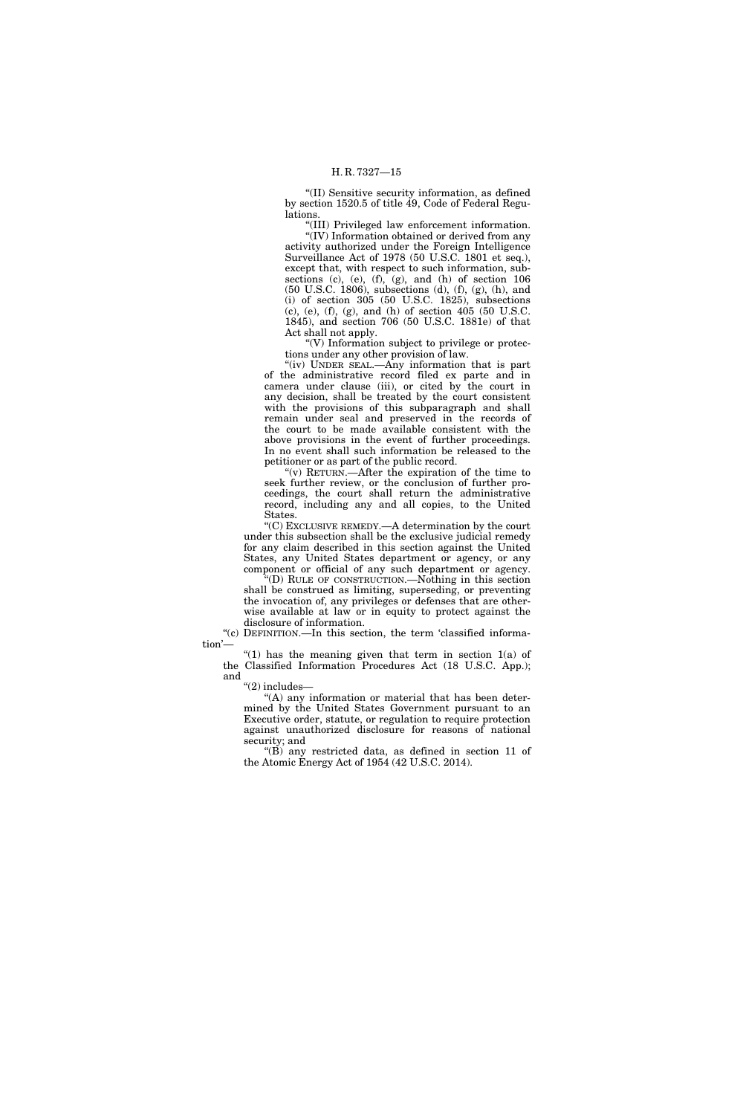''(II) Sensitive security information, as defined by section 1520.5 of title 49, Code of Federal Regulations.

''(III) Privileged law enforcement information. ''(IV) Information obtained or derived from any activity authorized under the Foreign Intelligence Surveillance Act of 1978 (50 U.S.C. 1801 et seq.), except that, with respect to such information, subsections (c), (e), (f), (g), and (h) of section  $106$ (50 U.S.C. 1806), subsections (d), (f), (g), (h), and (i) of section 305 (50 U.S.C. 1825), subsections (c), (e), (f), (g), and (h) of section 405 (50 U.S.C. 1845), and section 706 (50 U.S.C. 1881e) of that Act shall not apply.

 $\degree$ (V) Information subject to privilege or protections under any other provision of law.

''(iv) UNDER SEAL.—Any information that is part of the administrative record filed ex parte and in camera under clause (iii), or cited by the court in any decision, shall be treated by the court consistent with the provisions of this subparagraph and shall remain under seal and preserved in the records of the court to be made available consistent with the above provisions in the event of further proceedings. In no event shall such information be released to the petitioner or as part of the public record.

"(v) RETURN.—After the expiration of the time to seek further review, or the conclusion of further proceedings, the court shall return the administrative record, including any and all copies, to the United States.

''(C) EXCLUSIVE REMEDY.—A determination by the court under this subsection shall be the exclusive judicial remedy for any claim described in this section against the United States, any United States department or agency, or any component or official of any such department or agency.

''(D) RULE OF CONSTRUCTION.—Nothing in this section shall be construed as limiting, superseding, or preventing the invocation of, any privileges or defenses that are otherwise available at law or in equity to protect against the disclosure of information.

"(c) DEFINITION.—In this section, the term 'classified information'-

"(1) has the meaning given that term in section  $1(a)$  of the Classified Information Procedures Act (18 U.S.C. App.); and

''(2) includes—

''(A) any information or material that has been determined by the United States Government pursuant to an Executive order, statute, or regulation to require protection against unauthorized disclosure for reasons of national security; and

''(B) any restricted data, as defined in section 11 of the Atomic Energy Act of 1954 (42 U.S.C. 2014).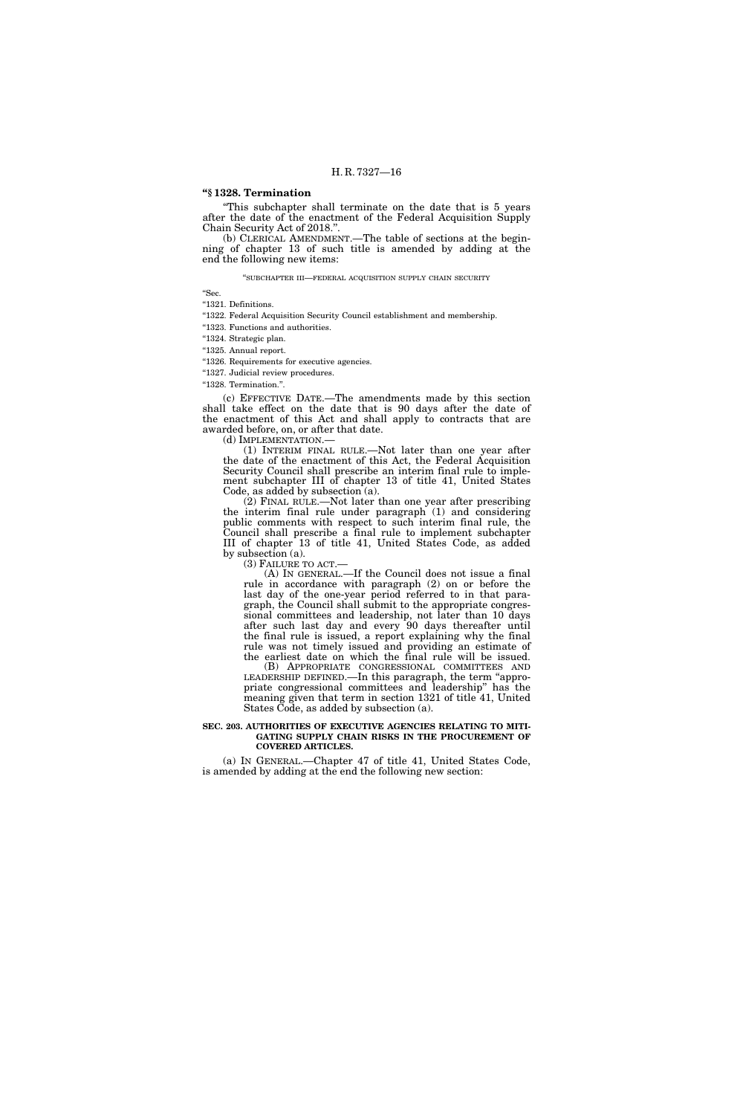# **''§ 1328. Termination**

''This subchapter shall terminate on the date that is 5 years after the date of the enactment of the Federal Acquisition Supply Chain Security Act of 2018.''.

(b) CLERICAL AMENDMENT.—The table of sections at the beginning of chapter 13 of such title is amended by adding at the end the following new items:

''SUBCHAPTER III—FEDERAL ACQUISITION SUPPLY CHAIN SECURITY

''Sec.

"1321. Definitions.

"1322. Federal Acquisition Security Council establishment and membership.

''1323. Functions and authorities.

''1324. Strategic plan.

''1325. Annual report.

"1326. Requirements for executive agencies.

"1327. Judicial review procedures.

''1328. Termination.''.

(c) EFFECTIVE DATE.—The amendments made by this section shall take effect on the date that is 90 days after the date of the enactment of this Act and shall apply to contracts that are awarded before, on, or after that date.

(d) IMPLEMENTATION.—

(1) INTERIM FINAL RULE.—Not later than one year after the date of the enactment of this Act, the Federal Acquisition Security Council shall prescribe an interim final rule to implement subchapter III of chapter 13 of title 41, United States Code, as added by subsection  $(a)$ .

(2) FINAL RULE.—Not later than one year after prescribing the interim final rule under paragraph (1) and considering public comments with respect to such interim final rule, the Council shall prescribe a final rule to implement subchapter III of chapter 13 of title 41, United States Code, as added by subsection (a).

(3) FAILURE TO ACT.—

(A) IN GENERAL.—If the Council does not issue a final rule in accordance with paragraph (2) on or before the last day of the one-year period referred to in that paragraph, the Council shall submit to the appropriate congressional committees and leadership, not later than 10 days after such last day and every 90 days thereafter until the final rule is issued, a report explaining why the final rule was not timely issued and providing an estimate of the earliest date on which the final rule will be issued.

(B) APPROPRIATE CONGRESSIONAL COMMITTEES AND LEADERSHIP DEFINED.—In this paragraph, the term ''appropriate congressional committees and leadership'' has the meaning given that term in section 1321 of title 41, United States Code, as added by subsection (a).

#### **SEC. 203. AUTHORITIES OF EXECUTIVE AGENCIES RELATING TO MITI-GATING SUPPLY CHAIN RISKS IN THE PROCUREMENT OF COVERED ARTICLES.**

(a) IN GENERAL.—Chapter 47 of title 41, United States Code, is amended by adding at the end the following new section: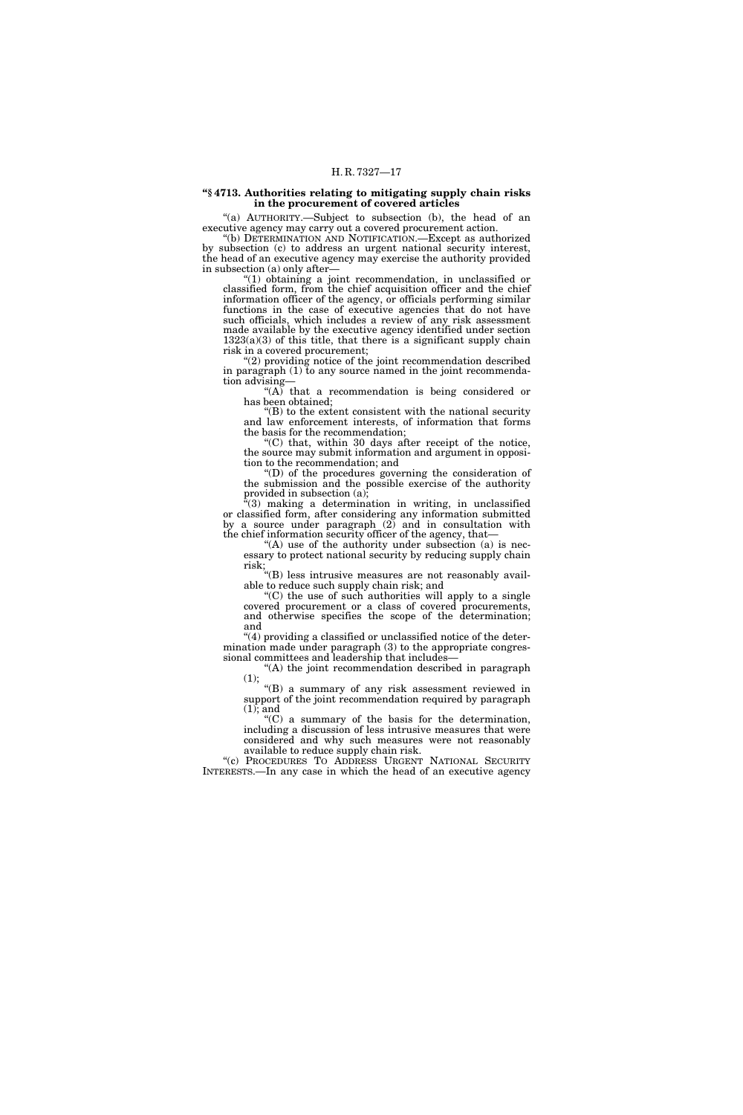### **''§ 4713. Authorities relating to mitigating supply chain risks in the procurement of covered articles**

''(a) AUTHORITY.—Subject to subsection (b), the head of an executive agency may carry out a covered procurement action.

''(b) DETERMINATION AND NOTIFICATION.—Except as authorized by subsection (c) to address an urgent national security interest, the head of an executive agency may exercise the authority provided in subsection (a) only after—

''(1) obtaining a joint recommendation, in unclassified or classified form, from the chief acquisition officer and the chief information officer of the agency, or officials performing similar functions in the case of executive agencies that do not have such officials, which includes a review of any risk assessment made available by the executive agency identified under section  $1323(a)(3)$  of this title, that there is a significant supply chain risk in a covered procurement;

''(2) providing notice of the joint recommendation described in paragraph (1) to any source named in the joint recommendation advising—

 $\mathcal{H}(A)$  that a recommendation is being considered or has been obtained;

''(B) to the extent consistent with the national security and law enforcement interests, of information that forms the basis for the recommendation;

''(C) that, within 30 days after receipt of the notice, the source may submit information and argument in opposition to the recommendation; and

''(D) of the procedures governing the consideration of the submission and the possible exercise of the authority provided in subsection (a);

 $*(3)$  making a determination in writing, in unclassified or classified form, after considering any information submitted by a source under paragraph (2) and in consultation with the chief information security officer of the agency, that—

"(A) use of the authority under subsection (a) is necessary to protect national security by reducing supply chain risk;

''(B) less intrusive measures are not reasonably available to reduce such supply chain risk; and

''(C) the use of such authorities will apply to a single covered procurement or a class of covered procurements, and otherwise specifies the scope of the determination; and

''(4) providing a classified or unclassified notice of the determination made under paragraph (3) to the appropriate congressional committees and leadership that includes—

(A) the joint recommendation described in paragraph (1);

''(B) a summary of any risk assessment reviewed in support of the joint recommendation required by paragraph (1); and

 $(C)$  a summary of the basis for the determination, including a discussion of less intrusive measures that were considered and why such measures were not reasonably available to reduce supply chain risk.

"(c) PROCEDURES TO ADDRESS URGENT NATIONAL SECURITY INTERESTS.—In any case in which the head of an executive agency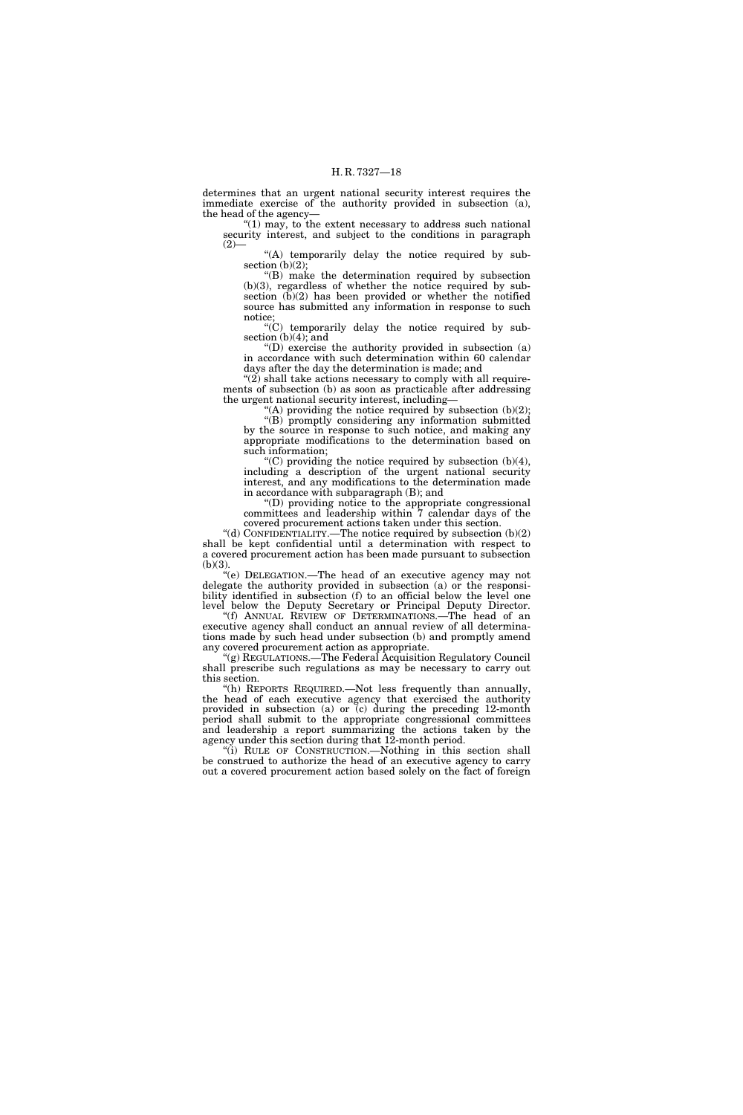determines that an urgent national security interest requires the immediate exercise of the authority provided in subsection (a), the head of the agency—

" $(1)$  may, to the extent necessary to address such national security interest, and subject to the conditions in paragraph  $(2)$ 

"(A) temporarily delay the notice required by subsection  $(b)(2)$ ;

''(B) make the determination required by subsection (b)(3), regardless of whether the notice required by subsection (b)(2) has been provided or whether the notified source has submitted any information in response to such notice;

 $\mathcal{C}(C)$  temporarily delay the notice required by subsection (b)(4); and

''(D) exercise the authority provided in subsection (a) in accordance with such determination within 60 calendar days after the day the determination is made; and

" $(2)$  shall take actions necessary to comply with all requirements of subsection (b) as soon as practicable after addressing the urgent national security interest, including—

"(A) providing the notice required by subsection (b)(2); ''(B) promptly considering any information submitted by the source in response to such notice, and making any

appropriate modifications to the determination based on such information; ''(C) providing the notice required by subsection (b)(4),

including a description of the urgent national security interest, and any modifications to the determination made in accordance with subparagraph (B); and

''(D) providing notice to the appropriate congressional committees and leadership within 7 calendar days of the covered procurement actions taken under this section.

"(d) CONFIDENTIALITY.—The notice required by subsection  $(b)(2)$ shall be kept confidential until a determination with respect to a covered procurement action has been made pursuant to subsection (b)(3).

''(e) DELEGATION.—The head of an executive agency may not delegate the authority provided in subsection (a) or the responsibility identified in subsection (f) to an official below the level one level below the Deputy Secretary or Principal Deputy Director.

''(f) ANNUAL REVIEW OF DETERMINATIONS.—The head of an executive agency shall conduct an annual review of all determinations made by such head under subsection (b) and promptly amend any covered procurement action as appropriate.

''(g) REGULATIONS.—The Federal Acquisition Regulatory Council shall prescribe such regulations as may be necessary to carry out this section.

''(h) REPORTS REQUIRED.—Not less frequently than annually, the head of each executive agency that exercised the authority provided in subsection (a) or (c) during the preceding 12-month period shall submit to the appropriate congressional committees and leadership a report summarizing the actions taken by the agency under this section during that 12-month period.

"(i) RULE OF CONSTRUCTION.—Nothing in this section shall be construed to authorize the head of an executive agency to carry out a covered procurement action based solely on the fact of foreign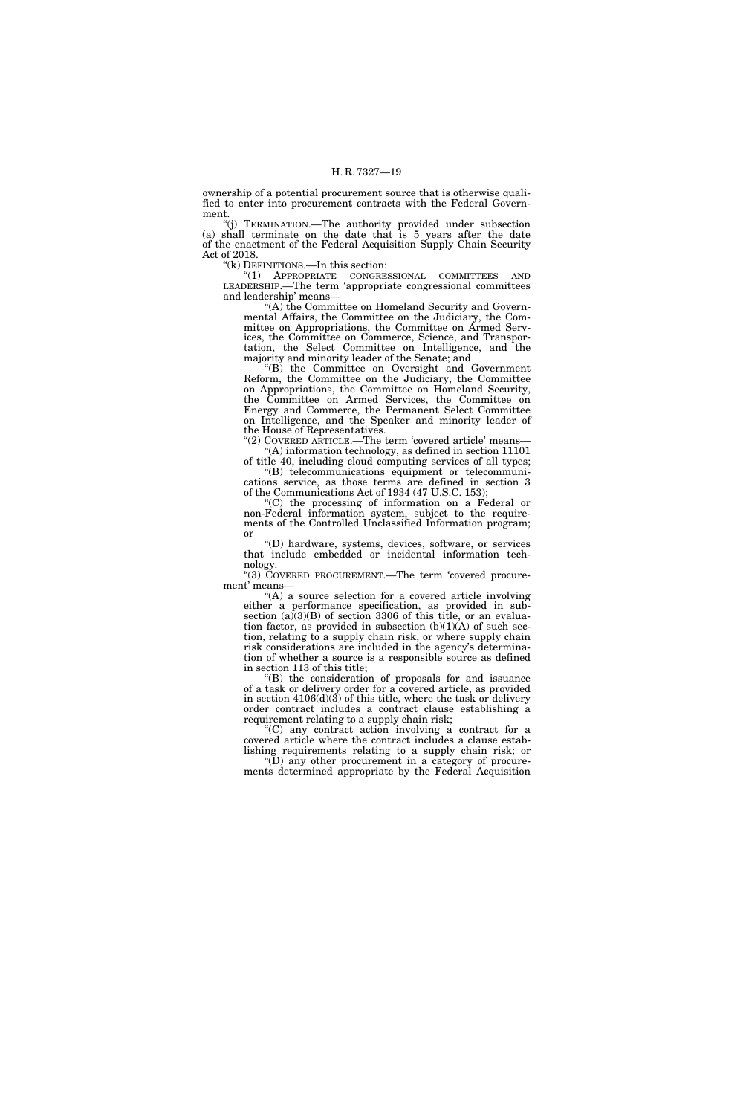ownership of a potential procurement source that is otherwise qualified to enter into procurement contracts with the Federal Government.

''(j) TERMINATION.—The authority provided under subsection (a) shall terminate on the date that is 5 years after the date of the enactment of the Federal Acquisition Supply Chain Security Act of 2018.

''(k) DEFINITIONS.—In this section:

''(1) APPROPRIATE CONGRESSIONAL COMMITTEES AND LEADERSHIP.—The term 'appropriate congressional committees and leadership' means—

''(A) the Committee on Homeland Security and Governmental Affairs, the Committee on the Judiciary, the Committee on Appropriations, the Committee on Armed Services, the Committee on Commerce, Science, and Transportation, the Select Committee on Intelligence, and the majority and minority leader of the Senate; and

''(B) the Committee on Oversight and Government Reform, the Committee on the Judiciary, the Committee on Appropriations, the Committee on Homeland Security, the Committee on Armed Services, the Committee on Energy and Commerce, the Permanent Select Committee on Intelligence, and the Speaker and minority leader of the House of Representatives.

"(2) COVERED ARTICLE.—The term 'covered article' means— ''(A) information technology, as defined in section 11101

of title 40, including cloud computing services of all types; ''(B) telecommunications equipment or telecommunications service, as those terms are defined in section 3 of the Communications Act of 1934 (47 U.S.C. 153);

''(C) the processing of information on a Federal or non-Federal information system, subject to the requirements of the Controlled Unclassified Information program; or

''(D) hardware, systems, devices, software, or services that include embedded or incidental information technology.

''(3) COVERED PROCUREMENT.—The term 'covered procurement' means—

''(A) a source selection for a covered article involving either a performance specification, as provided in subsection  $(a)(3)(B)$  of section 3306 of this title, or an evaluation factor, as provided in subsection  $(b)(1)(A)$  of such section, relating to a supply chain risk, or where supply chain risk considerations are included in the agency's determination of whether a source is a responsible source as defined in section 113 of this title;

''(B) the consideration of proposals for and issuance of a task or delivery order for a covered article, as provided in section  $4106(d)(3)$  of this title, where the task or delivery order contract includes a contract clause establishing a requirement relating to a supply chain risk;

''(C) any contract action involving a contract for a covered article where the contract includes a clause establishing requirements relating to a supply chain risk; or

 $f(D)$  any other procurement in a category of procurements determined appropriate by the Federal Acquisition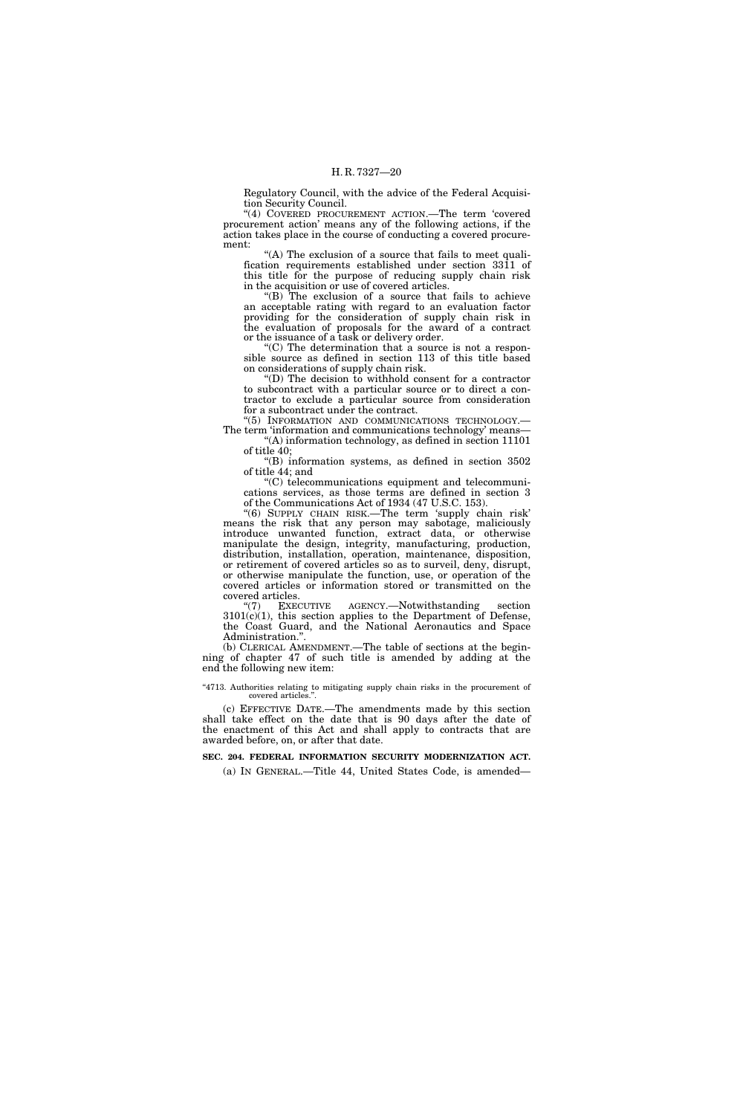Regulatory Council, with the advice of the Federal Acquisition Security Council.

"(4) COVERED PROCUREMENT ACTION.—The term 'covered procurement action' means any of the following actions, if the action takes place in the course of conducting a covered procurement:

''(A) The exclusion of a source that fails to meet qualification requirements established under section 3311 of this title for the purpose of reducing supply chain risk in the acquisition or use of covered articles.

 $(B)$  The exclusion of a source that fails to achieve an acceptable rating with regard to an evaluation factor providing for the consideration of supply chain risk in the evaluation of proposals for the award of a contract or the issuance of a task or delivery order.

 $(C)$  The determination that a source is not a responsible source as defined in section 113 of this title based on considerations of supply chain risk.

''(D) The decision to withhold consent for a contractor to subcontract with a particular source or to direct a contractor to exclude a particular source from consideration for a subcontract under the contract.

"(5) INFORMATION AND COMMUNICATIONS TECHNOLOGY.-The term 'information and communications technology' means— ''(A) information technology, as defined in section 11101

of title 40; ''(B) information systems, as defined in section 3502

of title 44; and ''(C) telecommunications equipment and telecommuni-

cations services, as those terms are defined in section 3 of the Communications Act of 1934 (47 U.S.C. 153).

''(6) SUPPLY CHAIN RISK.—The term 'supply chain risk' means the risk that any person may sabotage, maliciously introduce unwanted function, extract data, or otherwise manipulate the design, integrity, manufacturing, production, distribution, installation, operation, maintenance, disposition, or retirement of covered articles so as to surveil, deny, disrupt, or otherwise manipulate the function, use, or operation of the covered articles or information stored or transmitted on the covered articles.<br>"(7) EXE

EXECUTIVE AGENCY.—Notwithstanding section  $3101(c)(1)$ , this section applies to the Department of Defense, the Coast Guard, and the National Aeronautics and Space Administration.''.

(b) CLERICAL AMENDMENT.—The table of sections at the beginning of chapter 47 of such title is amended by adding at the end the following new item:

#### "4713. Authorities relating to mitigating supply chain risks in the procurement of covered articles.'

(c) EFFECTIVE DATE.—The amendments made by this section shall take effect on the date that is 90 days after the date of the enactment of this Act and shall apply to contracts that are awarded before, on, or after that date.

# **SEC. 204. FEDERAL INFORMATION SECURITY MODERNIZATION ACT.**

(a) IN GENERAL.—Title 44, United States Code, is amended—